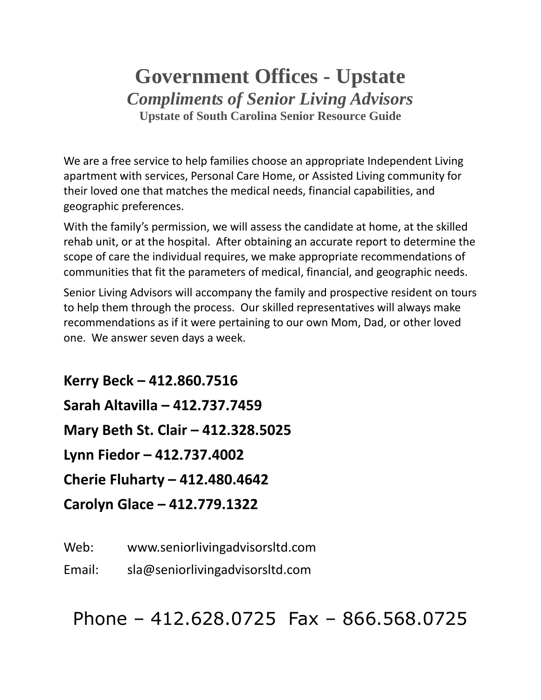# **Government Offices - Upstate** *Compliments of Senior Living Advisors* **Upstate of South Carolina Senior Resource Guide**

We are a free service to help families choose an appropriate Independent Living apartment with services, Personal Care Home, or Assisted Living community for their loved one that matches the medical needs, financial capabilities, and geographic preferences.

With the family's permission, we will assess the candidate at home, at the skilled rehab unit, or at the hospital. After obtaining an accurate report to determine the scope of care the individual requires, we make appropriate recommendations of communities that fit the parameters of medical, financial, and geographic needs.

Senior Living Advisors will accompany the family and prospective resident on tours to help them through the process. Our skilled representatives will always make recommendations as if it were pertaining to our own Mom, Dad, or other loved one. We answer seven days a week.

**Kerry Beck – 412.860.7516 Sarah Altavilla – 412.737.7459 Mary Beth St. Clair – 412.328.5025 Lynn Fiedor – 412.737.4002 Cherie Fluharty – 412.480.4642 Carolyn Glace – 412.779.1322**

Web: www.seniorlivingadvisorsltd.com

Email: sla@seniorlivingadvisorsltd.com

Phone – 412.628.0725 Fax – 866.568.0725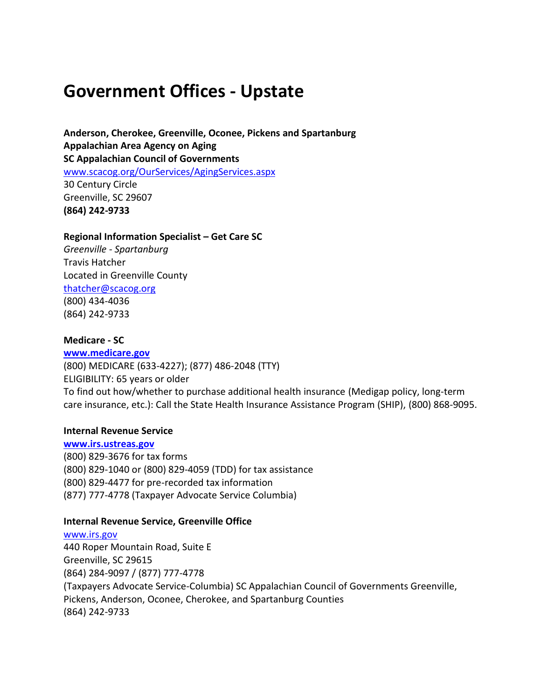# **Government Offices - Upstate**

**Anderson, Cherokee, Greenville, Oconee, Pickens and Spartanburg Appalachian Area Agency on Aging SC Appalachian Council of Governments** [www.scacog.org/OurServices/AgingServices.aspx](http://www.scacog.org/OurServices/AgingServices.aspx) 30 Century Circle Greenville, SC 29607 **(864) 242-9733**

#### **Regional Information Specialist – Get Care SC**

*Greenville - Spartanburg* Travis Hatcher Located in Greenville County [thatcher@scacog.org](mailto:thatcher@scacog.org) (800) 434-4036 (864) 242-9733

#### **Medicare - SC**

**[www.medicare.gov](http://www.medicare.gov/)** (800) MEDICARE (633-4227); (877) 486-2048 (TTY) ELIGIBILITY: 65 years or older To find out how/whether to purchase additional health insurance (Medigap policy, long-term care insurance, etc.): Call the State Health Insurance Assistance Program (SHIP), (800) 868-9095.

#### **Internal Revenue Service**

**[www.irs.ustreas.gov](http://www.irs.ustreas.gov/)** (800) 829-3676 for tax forms (800) 829-1040 or (800) 829-4059 (TDD) for tax assistance (800) 829-4477 for pre-recorded tax information (877) 777-4778 (Taxpayer Advocate Service Columbia)

#### **Internal Revenue Service, Greenville Office**

[www.irs.gov](http://www.irs.gov/) 440 Roper Mountain Road, Suite E Greenville, SC 29615 (864) 284-9097 / (877) 777-4778 (Taxpayers Advocate Service-Columbia) SC Appalachian Council of Governments Greenville, Pickens, Anderson, Oconee, Cherokee, and Spartanburg Counties (864) 242-9733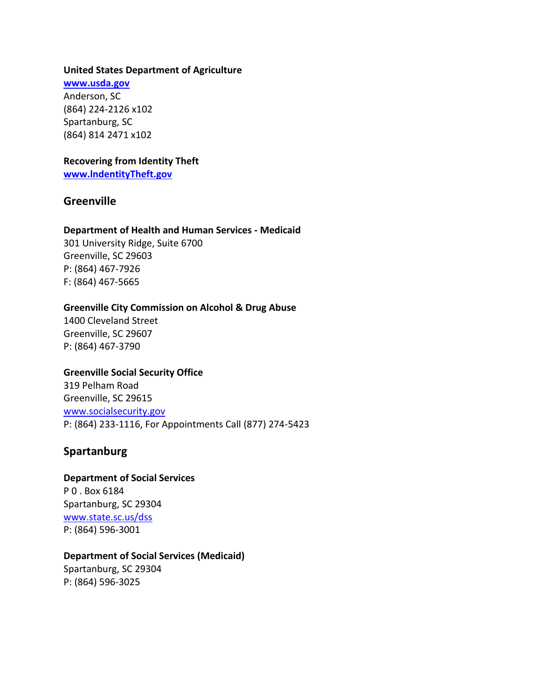#### **United States Department of Agriculture**

**[www.usda.gov](http://www.usda.gov/)** Anderson, SC (864) 224-2126 x102 Spartanburg, SC (864) 814 2471 x102

# **Recovering from Identity Theft**

**[www.lndentityTheft.gov](http://www.lndentitytheft.gov/)**

# **Greenville**

## **Department of Health and Human Services - Medicaid**

301 University Ridge, Suite 6700 Greenville, SC 29603 P: (864) 467-7926 F: (864) 467-5665

## **Greenville City Commission on Alcohol & Drug Abuse**

1400 Cleveland Street Greenville, SC 29607 P: (864) 467-3790

## **Greenville Social Security Office**

319 Pelham Road Greenville, SC 29615 [www.socialsecurity.gov](http://www.socialsecurity.gov/) P: (864) 233-1116, For Appointments Call (877) 274-5423

# **Spartanburg**

## **Department of Social Services**

P 0 . Box 6184 Spartanburg, SC 29304 [www.state.sc.us/dss](http://www.state.sc.us/dss) P: (864) 596-3001

## **Department of Social Services (Medicaid)**

Spartanburg, SC 29304 P: (864) 596-3025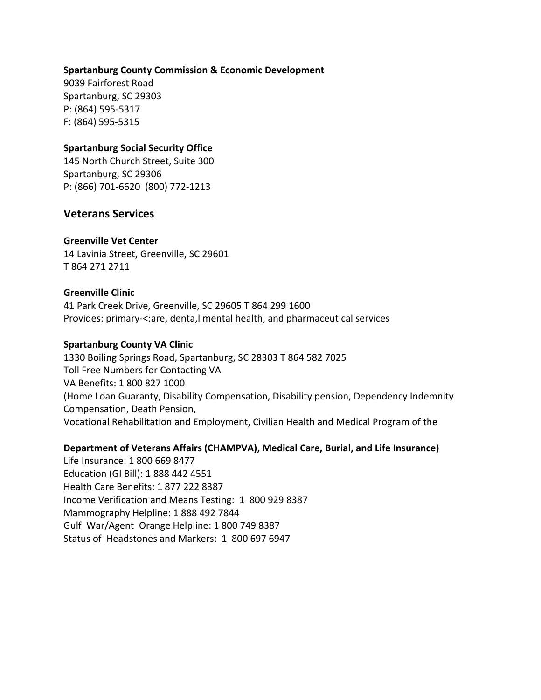#### **Spartanburg County Commission & Economic Development**

9039 Fairforest Road Spartanburg, SC 29303 P: (864) 595-5317 F: (864) 595-5315

### **Spartanburg Social Security Office**

145 North Church Street, Suite 300 Spartanburg, SC 29306 P: (866) 701-6620 (800) 772-1213

## **Veterans Services**

#### **Greenville Vet Center**

14 Lavinia Street, Greenville, SC 29601 T 864 271 2711

#### **Greenville Clinic**

41 Park Creek Drive, Greenville, SC 29605 T 864 299 1600 Provides: primary-<:are, denta,l mental health, and pharmaceutical services

#### **Spartanburg County VA Clinic**

1330 Boiling Springs Road, Spartanburg, SC 28303 T 864 582 7025 Toll Free Numbers for Contacting VA VA Benefits: 1 800 827 1000 (Home Loan Guaranty, Disability Compensation, Disability pension, Dependency Indemnity Compensation, Death Pension, Vocational Rehabilitation and Employment, Civilian Health and Medical Program of the

#### **Department of Veterans Affairs (CHAMPVA), Medical Care, Burial, and Life Insurance)**

Life Insurance: 1 800 669 8477 Education (GI Bill): 1 888 442 4551 Health Care Benefits: 1 877 222 8387 Income Verification and Means Testing: 1 800 929 8387 Mammography Helpline: 1 888 492 7844 Gulf War/Agent Orange Helpline: 1 800 749 8387 Status of Headstones and Markers: 1 800 697 6947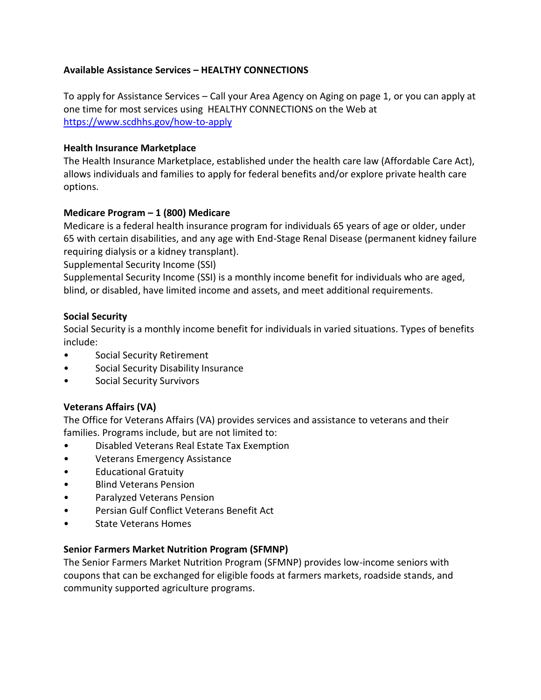## **Available Assistance Services – HEALTHY CONNECTIONS**

To apply for Assistance Services – Call your Area Agency on Aging on page 1, or you can apply at one time for most services using HEALTHY CONNECTIONS on the Web at <https://www.scdhhs.gov/how-to-apply>

## **Health Insurance Marketplace**

The Health Insurance Marketplace, established under the health care law (Affordable Care Act), allows individuals and families to apply for federal benefits and/or explore private health care options.

# **Medicare Program – 1 (800) Medicare**

Medicare is a federal health insurance program for individuals 65 years of age or older, under 65 with certain disabilities, and any age with End-Stage Renal Disease (permanent kidney failure requiring dialysis or a kidney transplant).

Supplemental Security Income (SSI)

Supplemental Security Income (SSI) is a monthly income benefit for individuals who are aged, blind, or disabled, have limited income and assets, and meet additional requirements.

## **Social Security**

Social Security is a monthly income benefit for individuals in varied situations. Types of benefits include:

- Social Security Retirement
- Social Security Disability Insurance
- Social Security Survivors

# **Veterans Affairs (VA)**

The Office for Veterans Affairs (VA) provides services and assistance to veterans and their families. Programs include, but are not limited to:

- Disabled Veterans Real Estate Tax Exemption
- Veterans Emergency Assistance
- Educational Gratuity
- Blind Veterans Pension
- Paralyzed Veterans Pension
- Persian Gulf Conflict Veterans Benefit Act
- State Veterans Homes

## **Senior Farmers Market Nutrition Program (SFMNP)**

The Senior Farmers Market Nutrition Program (SFMNP) provides low-income seniors with coupons that can be exchanged for eligible foods at farmers markets, roadside stands, and community supported agriculture programs.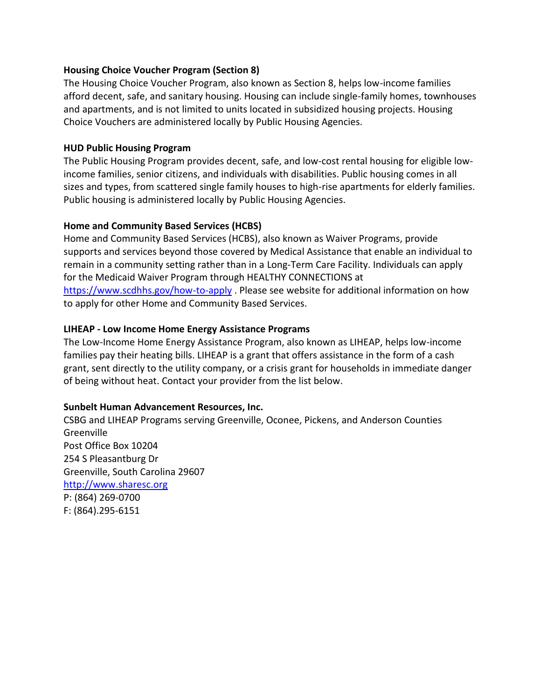## **Housing Choice Voucher Program (Section 8)**

The Housing Choice Voucher Program, also known as Section 8, helps low-income families afford decent, safe, and sanitary housing. Housing can include single-family homes, townhouses and apartments, and is not limited to units located in subsidized housing projects. Housing Choice Vouchers are administered locally by Public Housing Agencies.

## **HUD Public Housing Program**

The Public Housing Program provides decent, safe, and low-cost rental housing for eligible lowincome families, senior citizens, and individuals with disabilities. Public housing comes in all sizes and types, from scattered single family houses to high-rise apartments for elderly families. Public housing is administered locally by Public Housing Agencies.

## **Home and Community Based Services (HCBS)**

Home and Community Based Services (HCBS), also known as Waiver Programs, provide supports and services beyond those covered by Medical Assistance that enable an individual to remain in a community setting rather than in a Long-Term Care Facility. Individuals can apply for the Medicaid Waiver Program through HEALTHY CONNECTIONS at <https://www.scdhhs.gov/how-to-apply> . Please see website for additional information on how to apply for other Home and Community Based Services.

## **LIHEAP - Low Income Home Energy Assistance Programs**

The Low-Income Home Energy Assistance Program, also known as LIHEAP, helps low-income families pay their heating bills. LIHEAP is a grant that offers assistance in the form of a cash grant, sent directly to the utility company, or a crisis grant for households in immediate danger of being without heat. Contact your provider from the list below.

## **Sunbelt Human Advancement Resources, Inc.**

CSBG and LIHEAP Programs serving Greenville, Oconee, Pickens, and Anderson Counties **Greenville** Post Office Box 10204 254 S Pleasantburg Dr Greenville, South Carolina 29607 [http://www.sharesc.org](http://www.sharesc.org/) P: (864) 269-0700 F: (864).295-6151